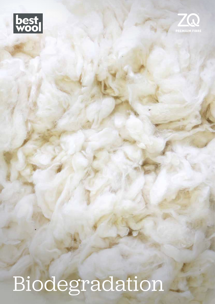



# Biodegradation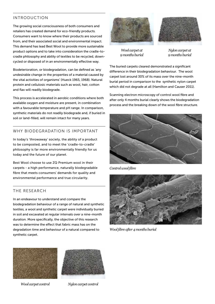# INTRODUCTION

The growing social consciousness of both consumers and retailers has created demand for eco-friendly products. Consumers want to know where their products are sourced from, and their associated social and environmental impact. This demand has lead Best Wool to provide more sustainable product options and to take into consideration the cradle-tocradle philosophy and ability of textiles to be recycled, downcycled or disposed of in an environmentally effective way.

Biodeterioration, or biodegradation, can be defined as 'any undesirable change in the properties of a material caused by the vital activities of organisms' (Hueck 1965, 1968). Natural protein and cellulosic materials such as wool, hair, cotton and flax will readily biodegrade.

This process is accelerated in aerobic conditions where both available oxygen and moisture are present, in combination with a favourable temperature and pH range. In comparison, synthetic materials do not readily biodegrade and, if buried in soil or land-filled, will remain intact for many years.

# WHY BIODEGRADATION IS IMPORTANT

In today's 'throwaway' society, the ability of a product to be composted, and to meet the 'cradle-to-cradle' philosophy is far more environmentally friendly for us today and the future of our planet.

Best Wool choose to use ZQ Premium wool in their carpets - a high performance, naturally biodegradable fibre that meets consumers' demands for quality and environmental performance and true circularity.

# THE RESEARCH

In an endeavour to understand and compare the biodegradation behaviour of a range of natural and synthetic textiles, a wool and synthetic carpet were individually buried in soil and excavated at regular intervals over a nine-month duration. More specifically, the objective of this research was to determine the effect that fabric mass has on the degradation time and behaviour of a natural compared to synthetic carpet.



*Wool carpet at 9 months burial*



*Nylon carpet at 9 months burial*

The buried carpets cleared demonstrated a significant difference in their biodegradation behaviour. The wool carpet lost around 30% of its mass over the nine-month burial period in comparison to the synthetic nylon carpet which did not degrade at all (Hamilton and Causer 2011).

Scanning electron microscopy of control wool fibre and after only 4 months burial clearly shows the biodegradation process and the breaking down of the wool fibre structure.



*Control wool fibre*



*Wool fibre after 4 months burial*





*Wool carpet control Nylon carpet control*